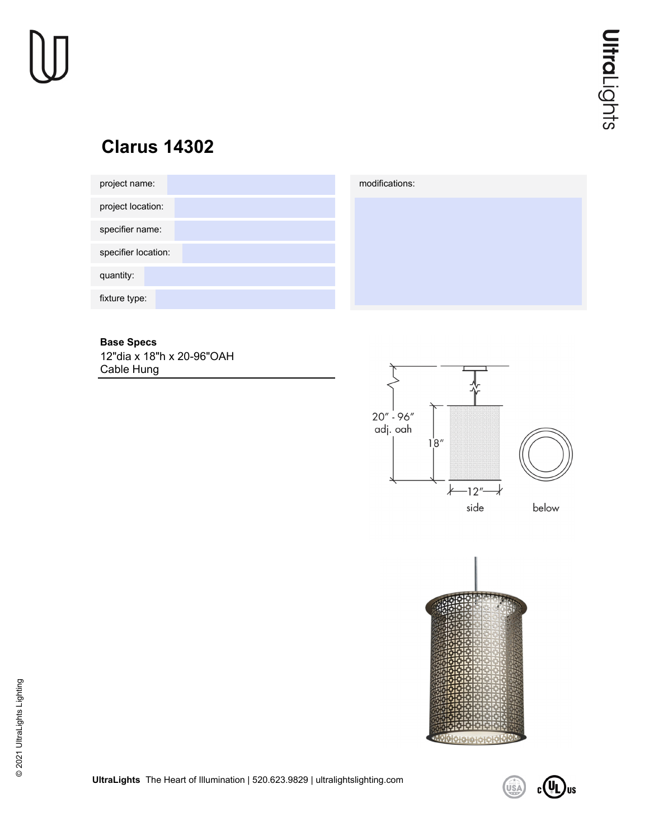# **Clarus 14302**





### **Base Specs**

12"dia x 18"h x 20-96"OAH Cable Hung